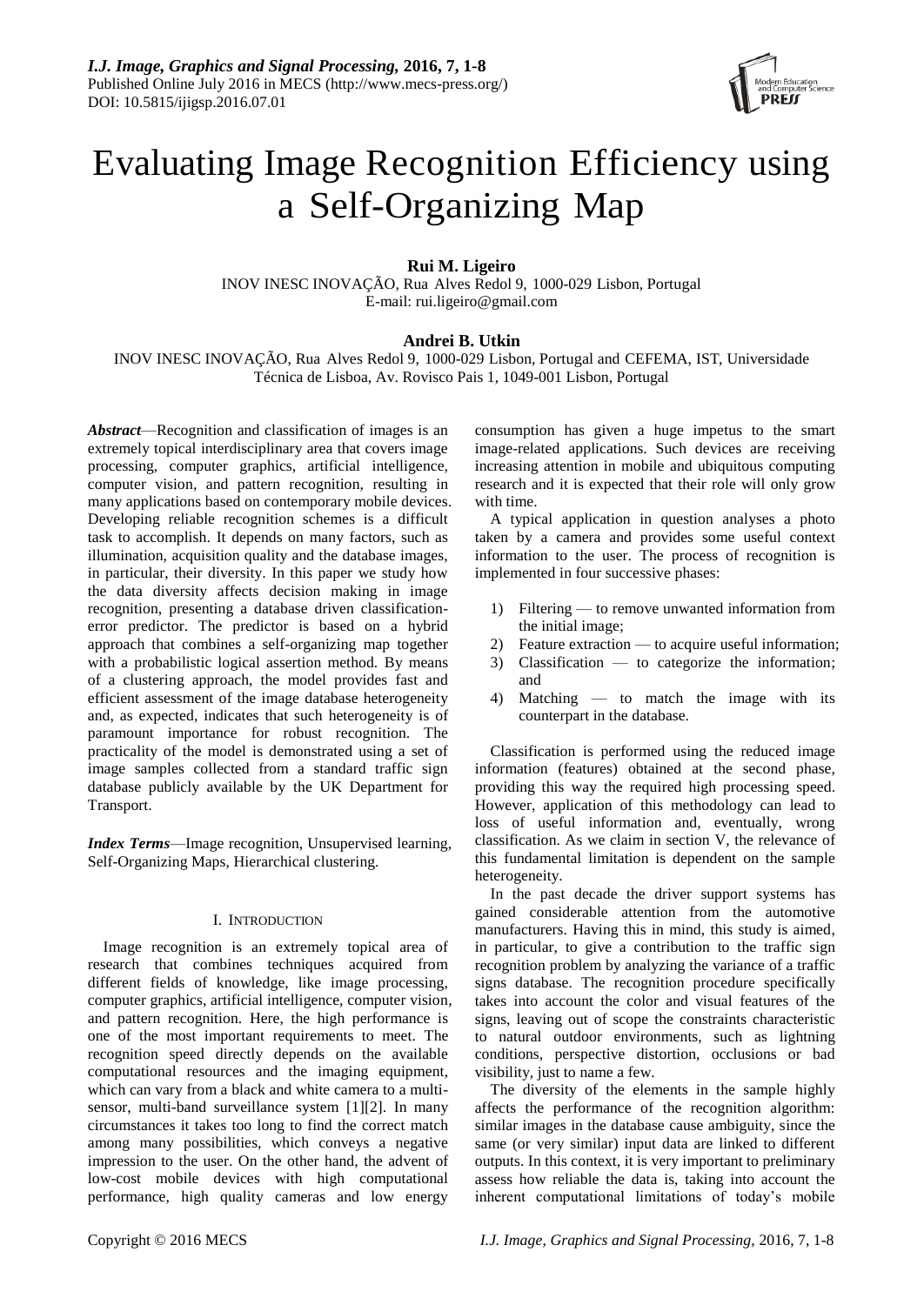

# Evaluating Image Recognition Efficiency using a Self-Organizing Map

**Rui M. Ligeiro**

INOV INESC INOVAÇÃO, Rua Alves Redol 9, 1000-029 Lisbon, Portugal E-mail: rui.ligeiro@gmail.com

# **Andrei B. Utkin**

INOV INESC INOVAÇÃO, Rua Alves Redol 9, 1000-029 Lisbon, Portugal and CEFEMA, IST, Universidade Tećnica de Lisboa, Av. Rovisco Pais 1, 1049-001 Lisbon, Portugal

*Abstract*—Recognition and classification of images is an extremely topical interdisciplinary area that covers image processing, computer graphics, artificial intelligence, computer vision, and pattern recognition, resulting in many applications based on contemporary mobile devices. Developing reliable recognition schemes is a difficult task to accomplish. It depends on many factors, such as illumination, acquisition quality and the database images, in particular, their diversity. In this paper we study how the data diversity affects decision making in image recognition, presenting a database driven classificationerror predictor. The predictor is based on a hybrid approach that combines a self-organizing map together with a probabilistic logical assertion method. By means of a clustering approach, the model provides fast and efficient assessment of the image database heterogeneity and, as expected, indicates that such heterogeneity is of paramount importance for robust recognition. The practicality of the model is demonstrated using a set of image samples collected from a standard traffic sign database publicly available by the UK Department for Transport.

*Index Terms*—Image recognition, Unsupervised learning, Self-Organizing Maps, Hierarchical clustering.

## I. INTRODUCTION

Image recognition is an extremely topical area of research that combines techniques acquired from different fields of knowledge, like image processing, computer graphics, artificial intelligence, computer vision, and pattern recognition. Here, the high performance is one of the most important requirements to meet. The recognition speed directly depends on the available computational resources and the imaging equipment, which can vary from a black and white camera to a multisensor, multi-band surveillance system [\[1\]\[2\].](#page-6-0) In many circumstances it takes too long to find the correct match among many possibilities, which conveys a negative impression to the user. On the other hand, the advent of low-cost mobile devices with high computational performance, high quality cameras and low energy

consumption has given a huge impetus to the smart image-related applications. Such devices are receiving increasing attention in mobile and ubiquitous computing research and it is expected that their role will only grow with time.

A typical application in question analyses a photo taken by a camera and provides some useful context information to the user. The process of recognition is implemented in four successive phases:

- 1) Filtering to remove unwanted information from the initial image;
- 2) Feature extraction to acquire useful information;
- 3) Classification to categorize the information; and
- 4) Matching to match the image with its counterpart in the database.

Classification is performed using the reduced image information (features) obtained at the second phase, providing this way the required high processing speed. However, application of this methodology can lead to loss of useful information and, eventually, wrong classification. As we claim in section [V,](#page-5-0) the relevance of this fundamental limitation is dependent on the sample heterogeneity.

In the past decade the driver support systems has gained considerable attention from the automotive manufacturers. Having this in mind, this study is aimed, in particular, to give a contribution to the traffic sign recognition problem by analyzing the variance of a traffic signs database. The recognition procedure specifically takes into account the color and visual features of the signs, leaving out of scope the constraints characteristic to natural outdoor environments, such as lightning conditions, perspective distortion, occlusions or bad visibility, just to name a few.

The diversity of the elements in the sample highly affects the performance of the recognition algorithm: similar images in the database cause ambiguity, since the same (or very similar) input data are linked to different outputs. In this context, it is very important to preliminary assess how reliable the data is, taking into account the inherent computational limitations of today's mobile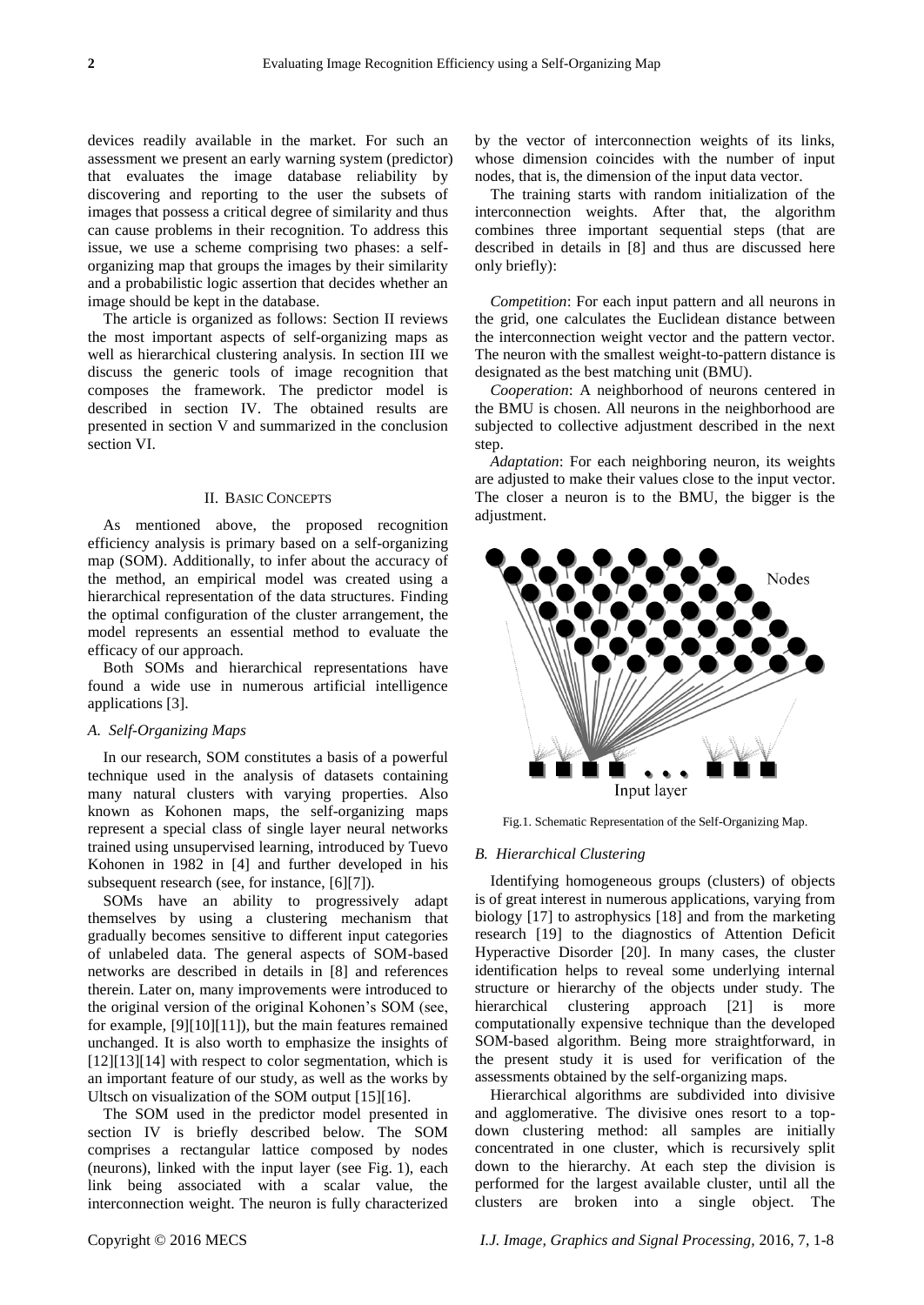devices readily available in the market. For such an assessment we present an early warning system (predictor) that evaluates the image database reliability by discovering and reporting to the user the subsets of images that possess a critical degree of similarity and thus can cause problems in their recognition. To address this issue, we use a scheme comprising two phases: a selforganizing map that groups the images by their similarity and a probabilistic logic assertion that decides whether an image should be kept in the database.

The article is organized as follows: Section [II](#page-1-0) reviews the most important aspects of self-organizing maps as well as hierarchical clustering analysis. In section [III](#page-2-0) we discuss the generic tools of image recognition that composes the framework. The predictor model is described in section [IV.](#page-3-0) The obtained results are presented in section [V](#page-5-0) and summarized in the conclusion section [VI.](#page-5-1)

#### <span id="page-1-0"></span>II. BASIC CONCEPTS

As mentioned above, the proposed recognition efficiency analysis is primary based on a self-organizing map (SOM). Additionally, to infer about the accuracy of the method, an empirical model was created using a hierarchical representation of the data structures. Finding the optimal configuration of the cluster arrangement, the model represents an essential method to evaluate the efficacy of our approach.

Both SOMs and hierarchical representations have found a wide use in numerous artificial intelligence applications [\[3\].](#page-6-1)

## *A. Self-Organizing Maps*

In our research, SOM constitutes a basis of a powerful technique used in the analysis of datasets containing many natural clusters with varying properties. Also known as Kohonen maps, the self-organizing maps represent a special class of single layer neural networks trained using unsupervised learning, introduced by Tuevo Kohonen in 1982 in [\[4\]](#page-6-2) and further developed in his subsequent research (see, for instance, [\[6\]\[7\]\)](#page-6-3).

SOMs have an ability to progressively adapt themselves by using a clustering mechanism that gradually becomes sensitive to different input categories of unlabeled data. The general aspects of SOM-based networks are described in details in [\[8\]](#page-6-4) and references therein. Later on, many improvements were introduced to the original version of the original Kohonen's SOM (see, for example, [\[9\]\[10\]](#page-6-5)[\[11\]\)](#page-6-6), but the main features remained unchanged. It is also worth to emphasize the insights of [\[12\]\[13\]](#page-6-7)[\[14\]](#page-6-8) with respect to color segmentation, which is an important feature of our study, as well as the works by Ultsch on visualization of the SOM output [\[15\]\[16\].](#page-6-9)

The SOM used in the predictor model presented in section [IV](#page-3-0) is briefly described below. The SOM comprises a rectangular lattice composed by nodes (neurons), linked with the input layer (see Fig. [1\)](#page-1-1), each link being associated with a scalar value, the interconnection weight. The neuron is fully characterized

by the vector of interconnection weights of its links, whose dimension coincides with the number of input nodes, that is, the dimension of the input data vector.

The training starts with random initialization of the interconnection weights. After that, the algorithm combines three important sequential steps (that are described in details in [\[8\]](#page-6-4) and thus are discussed here only briefly):

*Competition*: For each input pattern and all neurons in the grid, one calculates the Euclidean distance between the interconnection weight vector and the pattern vector. The neuron with the smallest weight-to-pattern distance is designated as the best matching unit (BMU).

*Cooperation*: A neighborhood of neurons centered in the BMU is chosen. All neurons in the neighborhood are subjected to collective adjustment described in the next step.

*Adaptation*: For each neighboring neuron, its weights are adjusted to make their values close to the input vector. The closer a neuron is to the BMU, the bigger is the adjustment.



Fig.1. Schematic Representation of the Self-Organizing Map.

## <span id="page-1-1"></span>*B. Hierarchical Clustering*

Identifying homogeneous groups (clusters) of objects is of great interest in numerous applications, varying from biology [\[17\]](#page-7-0) to astrophysics [\[18\]](#page-7-1) and from the marketing research [\[19\]](#page-7-2) to the diagnostics of Attention Deficit Hyperactive Disorder [\[20\].](#page-7-3) In many cases, the cluster identification helps to reveal some underlying internal structure or hierarchy of the objects under study. The hierarchical clustering approach [\[21\]](#page-7-4) is more computationally expensive technique than the developed SOM-based algorithm. Being more straightforward, in the present study it is used for verification of the assessments obtained by the self-organizing maps.

Hierarchical algorithms are subdivided into divisive and agglomerative. The divisive ones resort to a topdown clustering method: all samples are initially concentrated in one cluster, which is recursively split down to the hierarchy. At each step the division is performed for the largest available cluster, until all the clusters are broken into a single object. The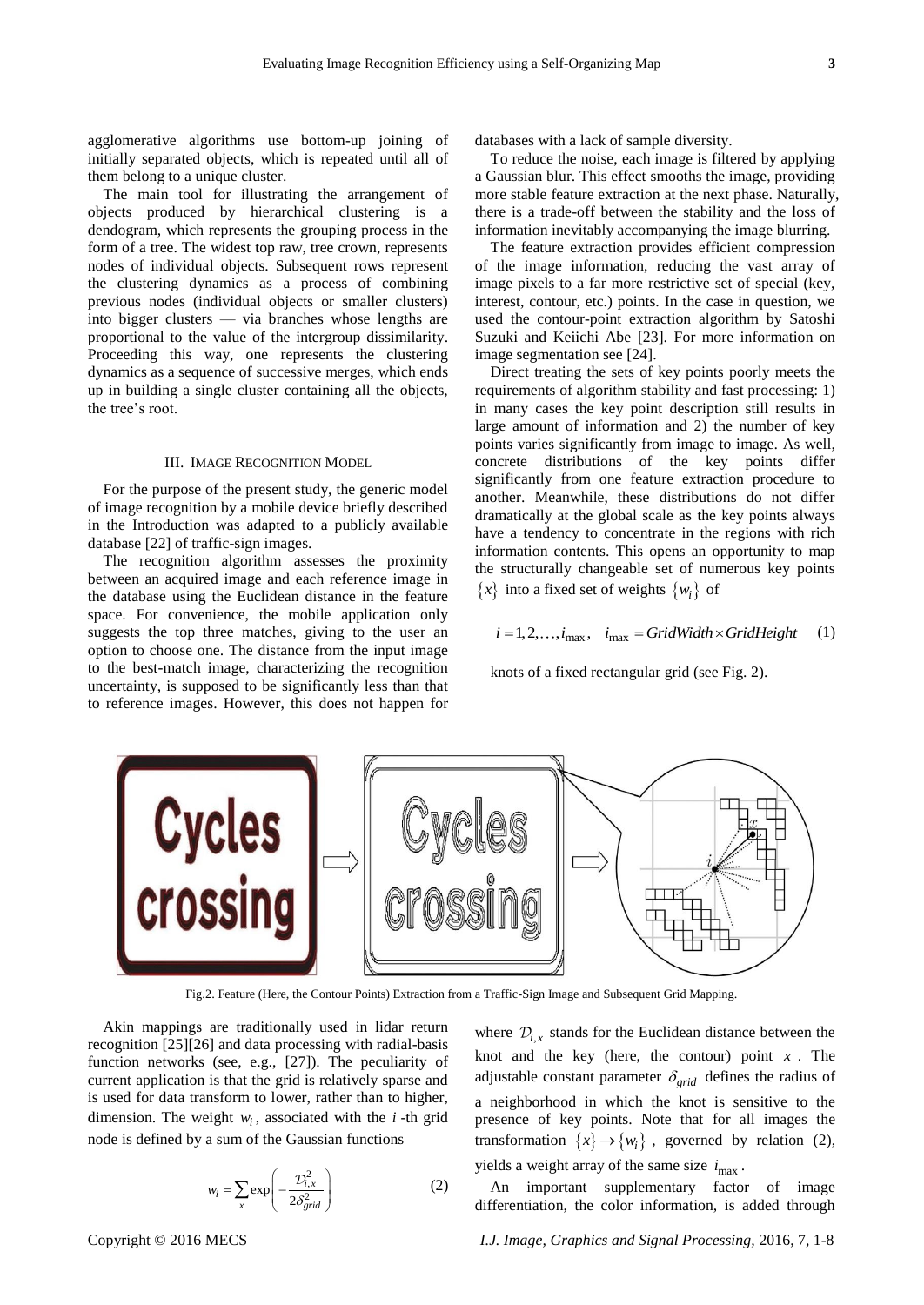agglomerative algorithms use bottom-up joining of initially separated objects, which is repeated until all of them belong to a unique cluster.

The main tool for illustrating the arrangement of objects produced by hierarchical clustering is a dendogram, which represents the grouping process in the form of a tree. The widest top raw, tree crown, represents nodes of individual objects. Subsequent rows represent the clustering dynamics as a process of combining previous nodes (individual objects or smaller clusters) into bigger clusters — via branches whose lengths are proportional to the value of the intergroup dissimilarity. Proceeding this way, one represents the clustering dynamics as a sequence of successive merges, which ends up in building a single cluster containing all the objects, the tree's root.

#### <span id="page-2-0"></span>III. IMAGE RECOGNITION MODEL

For the purpose of the present study, the generic model of image recognition by a mobile device briefly described in the Introduction was adapted to a publicly available databas[e \[22\]](#page-7-5) of traffic-sign images.

The recognition algorithm assesses the proximity between an acquired image and each reference image in the database using the Euclidean distance in the feature space. For convenience, the mobile application only suggests the top three matches, giving to the user an option to choose one. The distance from the input image to the best-match image, characterizing the recognition uncertainty, is supposed to be significantly less than that to reference images. However, this does not happen for

databases with a lack of sample diversity.

To reduce the noise, each image is filtered by applying a Gaussian blur. This effect smooths the image, providing more stable feature extraction at the next phase. Naturally, there is a trade-off between the stability and the loss of information inevitably accompanying the image blurring.

The feature extraction provides efficient compression of the image information, reducing the vast array of image pixels to a far more restrictive set of special (key, interest, contour, etc.) points. In the case in question, we used the contour-point extraction algorithm by Satoshi Suzuki and Keiichi Abe [\[23\].](#page-7-6) For more information on image segmentation see [\[24\].](#page-7-7)

Direct treating the sets of key points poorly meets the requirements of algorithm stability and fast processing: 1) in many cases the key point description still results in large amount of information and 2) the number of key points varies significantly from image to image. As well, concrete distributions of the key points differ significantly from one feature extraction procedure to another. Meanwhile, these distributions do not differ dramatically at the global scale as the key points always have a tendency to concentrate in the regions with rich information contents. This opens an opportunity to map the structurally changeable set of numerous key points  $\{x\}$  into a fixed set of weights  $\{w_i\}$  of

$$
i = 1, 2, ..., i_{\text{max}}, \quad i_{\text{max}} = \text{GridWidth} \times \text{GridHeight}
$$
 (1)

knots of a fixed rectangular grid (see Fig. [2\)](#page-2-1).

<span id="page-2-1"></span>Akin mappings are traditionally used in lidar return recognition [\[25\]\[26\]](#page-7-8) and data processing with radial-basis function networks (see, e.g., [\[27\]\)](#page-7-9). The peculiarity of current application is that the grid is relatively sparse and is used for data transform to lower, rather than to higher, dimension. The weight  $w_i$ , associated with the *i*-th grid node is defined by a sum of the Gaussian functions

$$
w_i = \sum_{x} \exp\left(-\frac{\mathcal{D}_{i,x}^2}{2\delta_{grid}^2}\right) \tag{2}
$$

where  $\mathcal{D}_{i,x}$  stands for the Euclidean distance between the knot and the key (here, the contour) point  $x$ . The adjustable constant parameter  $\delta_{grid}$  defines the radius of a neighborhood in which the knot is sensitive to the presence of key points. Note that for all images the transformation  $\{x\} \rightarrow \{w_i\}$ , governed by relation [\(2\)](#page-2-2), yields a weight array of the same size max *i* .

<span id="page-2-2"></span>An important supplementary factor of image differentiation, the color information, is added through

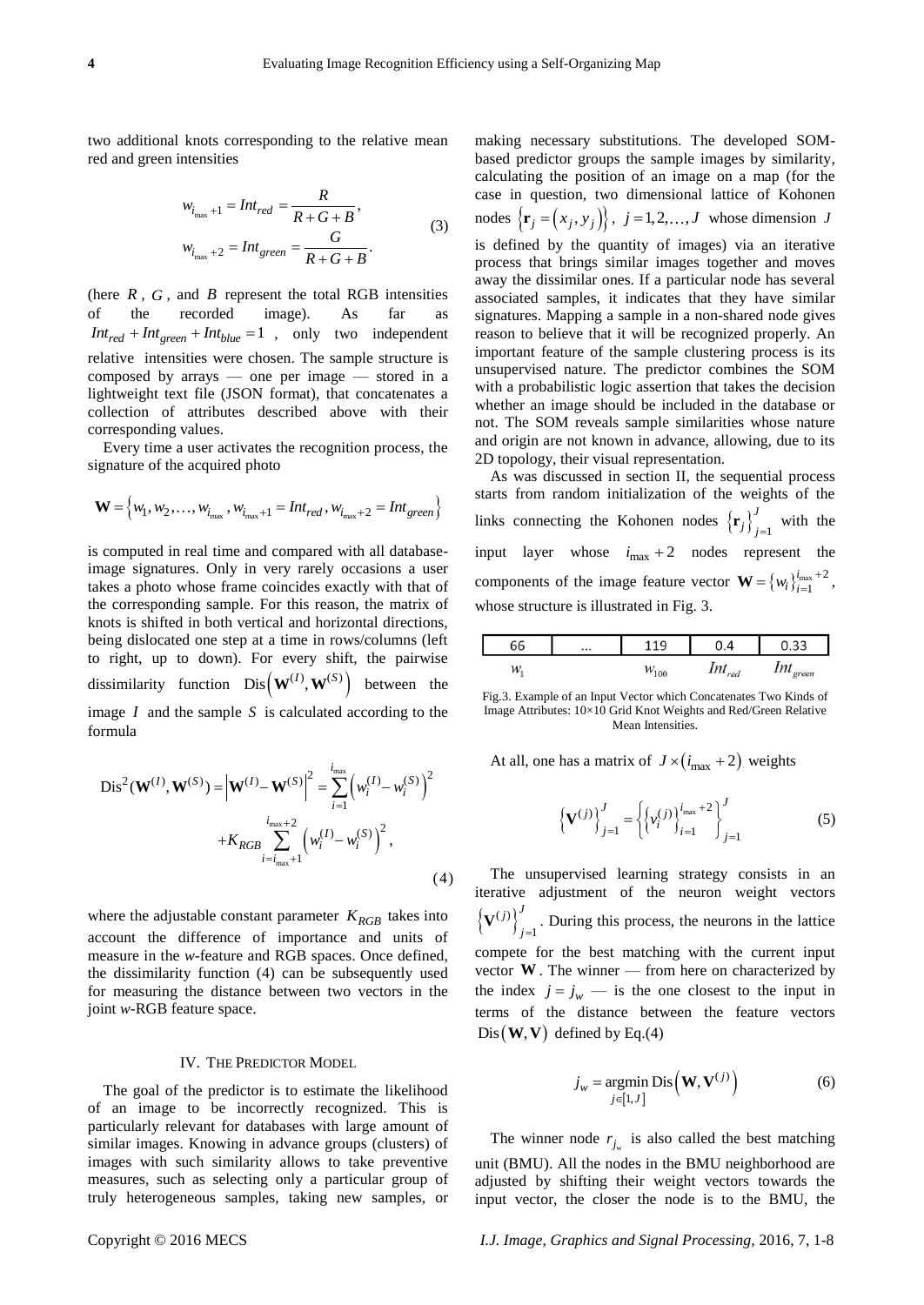two additional knots corresponding to the relative mean red and green intensities

$$
w_{i_{\text{max}}+1} = Int_{red} = \frac{R}{R + G + B},
$$
  
\n
$$
w_{i_{\text{max}}+2} = Int_{green} = \frac{G}{R + G + B}.
$$
\n(3)

(here  $R$ ,  $G$ , and  $B$  represent the total RGB intensities of the recorded image). As far as  $Int_{red} + Int_{green} + Int_{blue} = 1$ , only two independent relative intensities were chosen. The sample structure is composed by arrays — one per image — stored in a lightweight text file (JSON format), that concatenates a collection of attributes described above with their corresponding values.

Every time a user activates the recognition process, the signature of the acquired photo

$$
\mathbf{W} = \{w_1, w_2, \dots, w_{i_{\text{max}}}, w_{i_{\text{max}}+1} = Int_{red}, w_{i_{\text{max}}+2} = Int_{green}\}
$$

is computed in real time and compared with all databaseimage signatures. Only in very rarely occasions a user takes a photo whose frame coincides exactly with that of the corresponding sample. For this reason, the matrix of knots is shifted in both vertical and horizontal directions, being dislocated one step at a time in rows/columns (left to right, up to down). For every shift, the pairwise dissimilarity function  $\text{Dis}\left(\mathbf{W}^{(I)}, \mathbf{W}^{(S)}\right)$  between the image  $I$  and the sample  $S$  is calculated according to the formula

$$
Dis^{2}(\mathbf{W}^{(I)}, \mathbf{W}^{(S)}) = |\mathbf{W}^{(I)} - \mathbf{W}^{(S)}|^{2} = \sum_{i=1}^{i_{\text{max}}} \left( w_{i}^{(I)} - w_{i}^{(S)} \right)^{2} + K_{RGB} \sum_{i=i_{\text{max}}+1}^{i_{\text{max}}+2} \left( w_{i}^{(I)} - w_{i}^{(S)} \right)^{2},
$$
\n(4)

where the adjustable constant parameter  $K_{RGB}$  takes into account the difference of importance and units of measure in the *w*-feature and RGB spaces. Once defined, the dissimilarity function [\(4\)](#page-3-1) can be subsequently used for measuring the distance between two vectors in the joint *w-*RGB feature space.

## <span id="page-3-0"></span>IV. THE PREDICTOR MODEL

The goal of the predictor is to estimate the likelihood of an image to be incorrectly recognized. This is particularly relevant for databases with large amount of similar images. Knowing in advance groups (clusters) of images with such similarity allows to take preventive measures, such as selecting only a particular group of truly heterogeneous samples, taking new samples, or making necessary substitutions. The developed SOMbased predictor groups the sample images by similarity, calculating the position of an image on a map (for the case in question, two dimensional lattice of Kohonen nodes  $\{\mathbf r_j = (x_j, y_j)\}\,$ ,  $j = 1, 2, ..., J$  whose dimension J is defined by the quantity of images) via an iterative process that brings similar images together and moves away the dissimilar ones. If a particular node has several associated samples, it indicates that they have similar signatures. Mapping a sample in a non-shared node gives reason to believe that it will be recognized properly. An important feature of the sample clustering process is its unsupervised nature. The predictor combines the SOM with a probabilistic logic assertion that takes the decision whether an image should be included in the database or

2D topology, their visual representation. As was discussed in section [II,](#page-1-0) the sequential process starts from random initialization of the weights of the links connecting the Kohonen nodes  $\{r_j\}_{j=1}^J$  $\mathbf{r}_j \big|_{j=1}^{\infty}$  with the input layer whose  $i_{\text{max}} + 2$  nodes represent the components of the image feature vector  $\mathbf{W} = \{w_i\}_{i=1}^{i_{\text{max}}+2}$ 1 *i*  $w_i\}_{i=1}^{i_{\text{max}}}$ <sup>+</sup>  $\mathbf{W} = \left\{ w_i \right\}_{i=1}^{l_{\text{max}} + 2}$ , whose structure is illustrated in Fig. [3.](#page-3-2)

not. The SOM reveals sample similarities whose nature and origin are not known in advance, allowing, due to its

| ∽<br>מכ |     |                           | $\sim$ $\sim$                 |
|---------|-----|---------------------------|-------------------------------|
| 141     | 100 | <b>**</b><br>$\mu$<br>red | $\mathbf{z}$<br>1111<br>green |

<span id="page-3-2"></span>Fig.3. Example of an Input Vector which Concatenates Two Kinds of Image Attributes: 10×10 Grid Knot Weights and Red/Green Relative Mean Intensities.

At all, one has a matrix of  $J \times (i_{\text{max}} + 2)$  weights

<span id="page-3-3"></span>
$$
\left\{ \mathbf{V}^{(j)} \right\}_{j=1}^{J} = \left\{ \left\{ v_i^{(j)} \right\}_{i=1}^{i_{\text{max}} + 2} \right\}_{j=1}^{J}
$$
 (5)

<span id="page-3-1"></span>The unsupervised learning strategy consists in an iterative adjustment of the neuron weight vectors  $\left\{ \mathbf{V}^{(j)}\right\}^{J}$ 1  $\int$  $\mathbf{V}^{(J)}\Big\}_{j=1}$ . During this process, the neurons in the lattice compete for the best matching with the current input vector  $W$ . The winner  $-$  from here on characterized by the index  $j = j_w$  — is the one closest to the input in terms of the distance between the feature vectors  $Dis(W, V)$  defined by Eq.[\(4\)](#page-3-1)

$$
j_w = \underset{j \in [1, J]}{\text{argmin}} \, \text{Dis}\Big(\mathbf{W}, \mathbf{V}^{(j)}\Big) \tag{6}
$$

The winner node  $r_{j_w}$  is also called the best matching unit (BMU). All the nodes in the BMU neighborhood are adjusted by shifting their weight vectors towards the input vector, the closer the node is to the BMU, the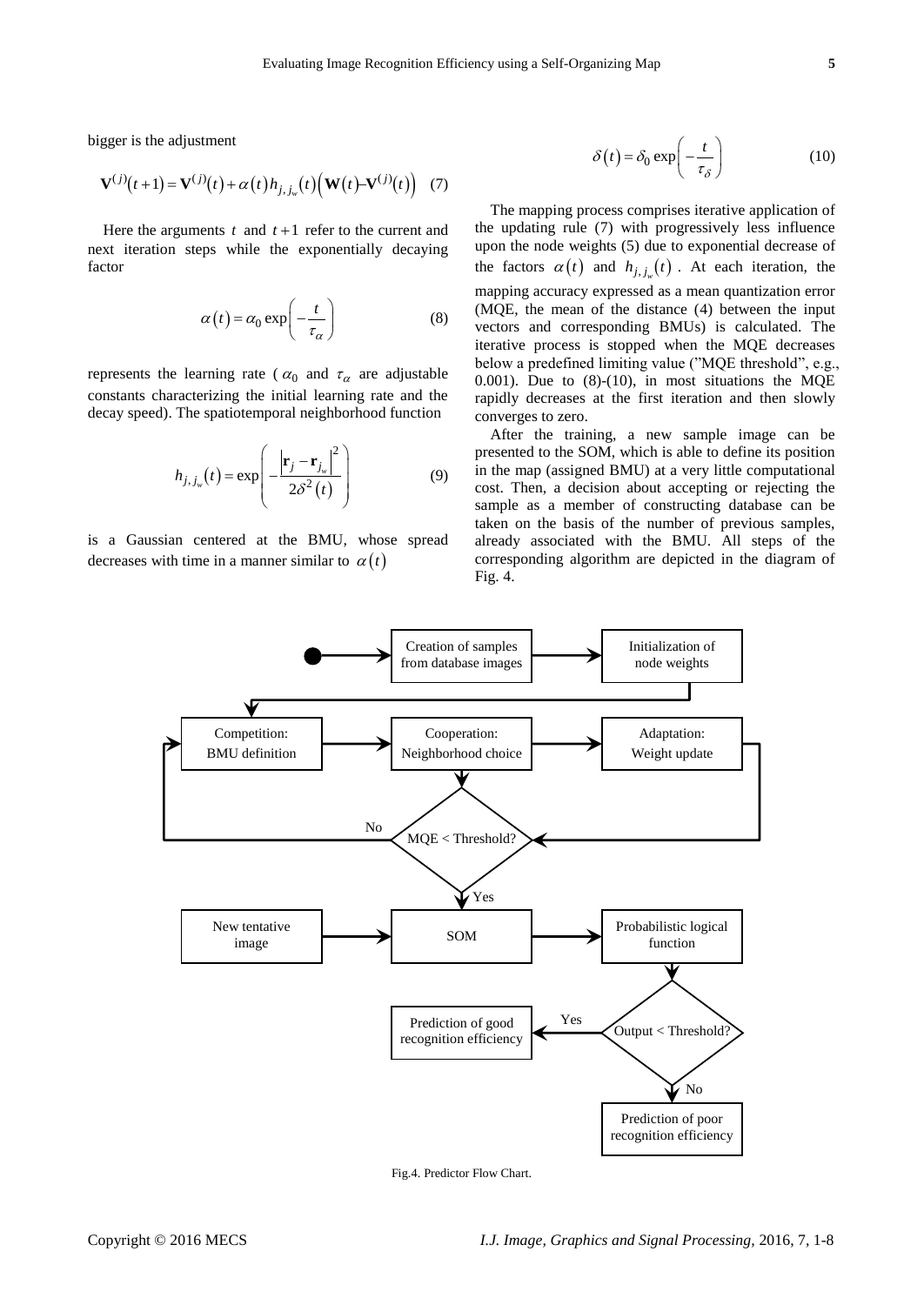bigger is the adjustment

$$
\mathbf{V}^{(j)}(t+1) = \mathbf{V}^{(j)}(t) + \alpha(t) h_{j, j_w}(t) (\mathbf{W}(t) - \mathbf{V}^{(j)}(t))
$$
 (7)

Here the arguments  $t$  and  $t+1$  refer to the current and next iteration steps while the exponentially decaying factor

$$
\alpha(t) = \alpha_0 \exp\left(-\frac{t}{\tau_\alpha}\right) \tag{8}
$$

represents the learning rate ( $\alpha_0$  and  $\tau_\alpha$  are adjustable constants characterizing the initial learning rate and the decay speed). The spatiotemporal neighborhood function

$$
h_{j,j_w}(t) = \exp\left(-\frac{\left|\mathbf{r}_j - \mathbf{r}_{j_w}\right|^2}{2\delta^2(t)}\right)
$$
(9)

is a Gaussian centered at the BMU, whose spread decreases with time in a manner similar to  $\alpha(t)$ 

<span id="page-4-2"></span>
$$
\delta(t) = \delta_0 \exp\left(-\frac{t}{\tau_{\delta}}\right) \tag{10}
$$

<span id="page-4-1"></span><span id="page-4-0"></span>The mapping process comprises iterative application of the updating rule [\(7\)](#page-4-0) with progressively less influence upon the node weights [\(5\)](#page-3-3) due to exponential decrease of the factors  $\alpha(t)$  and  $h_{j, j_w}(t)$ . At each iteration, the mapping accuracy expressed as a mean quantization error (MQE, the mean of the distance [\(4\)](#page-3-1) between the input vectors and corresponding BMUs) is calculated. The iterative process is stopped when the MQE decreases below a predefined limiting value ("MQE threshold", e.g., 0.001). Due to  $(8)-(10)$  $(8)-(10)$  $(8)-(10)$ , in most situations the MQE rapidly decreases at the first iteration and then slowly converges to zero.

After the training, a new sample image can be presented to the SOM, which is able to define its position in the map (assigned BMU) at a very little computational cost. Then, a decision about accepting or rejecting the sample as a member of constructing database can be taken on the basis of the number of previous samples, already associated with the BMU. All steps of the corresponding algorithm are depicted in the diagram of Fig. 4.



Fig.4. Predictor Flow Chart.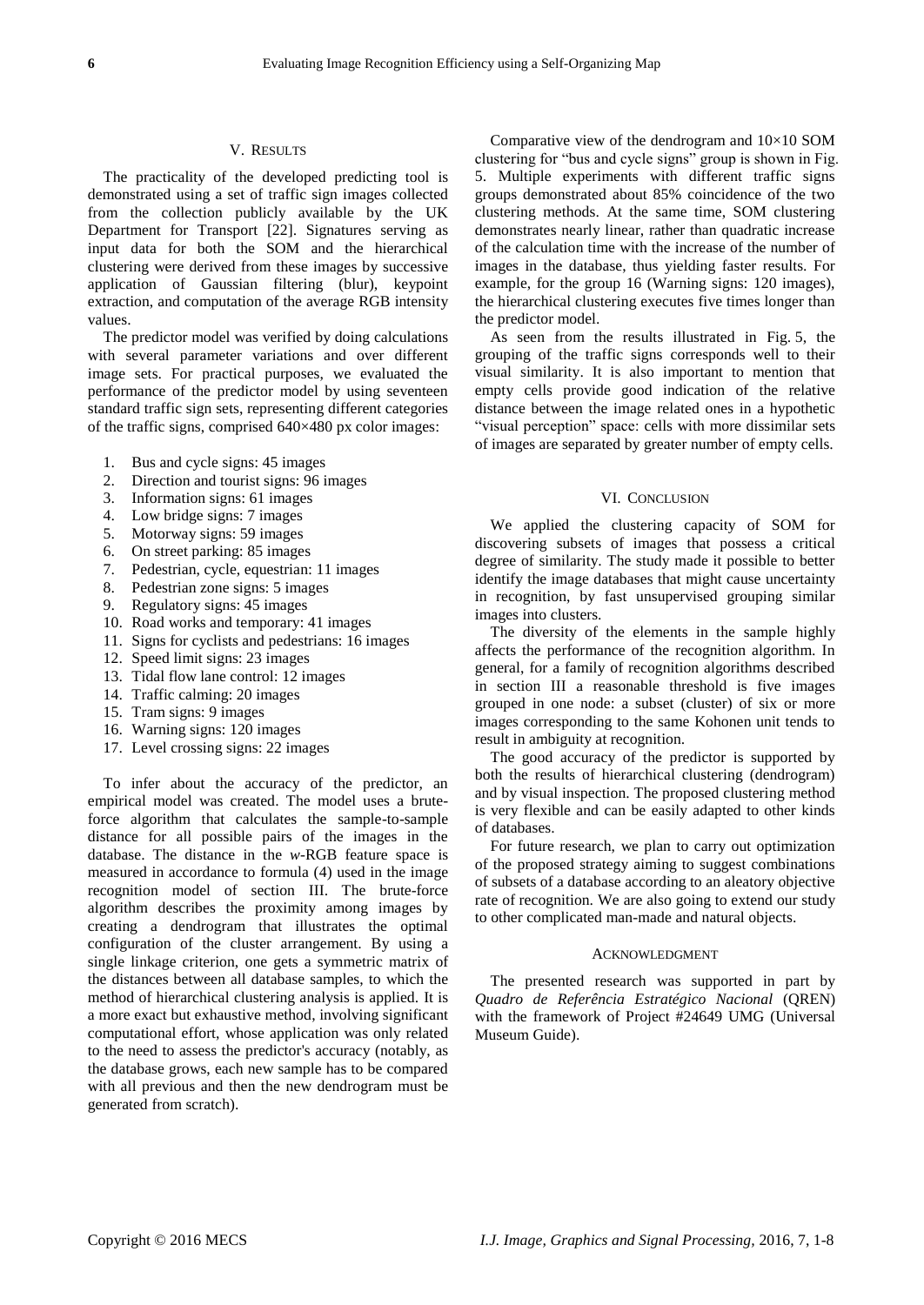## <span id="page-5-0"></span>V. RESULTS

The practicality of the developed predicting tool is demonstrated using a set of traffic sign images collected from the collection publicly available by the UK Department for Transport [\[22\].](#page-7-5) Signatures serving as input data for both the SOM and the hierarchical clustering were derived from these images by successive application of Gaussian filtering (blur), keypoint extraction, and computation of the average RGB intensity values.

The predictor model was verified by doing calculations with several parameter variations and over different image sets. For practical purposes, we evaluated the performance of the predictor model by using seventeen standard traffic sign sets, representing different categories of the traffic signs, comprised 640×480 px color images:

- 1. Bus and cycle signs: 45 images
- 2. Direction and tourist signs: 96 images
- 3. Information signs: 61 images
- 4. Low bridge signs: 7 images
- 5. Motorway signs: 59 images
- 6. On street parking: 85 images
- 7. Pedestrian, cycle, equestrian: 11 images
- 8. Pedestrian zone signs: 5 images
- 9. Regulatory signs: 45 images
- 10. Road works and temporary: 41 images
- 11. Signs for cyclists and pedestrians: 16 images
- 12. Speed limit signs: 23 images
- 13. Tidal flow lane control: 12 images
- 14. Traffic calming: 20 images
- 15. Tram signs: 9 images
- 16. Warning signs: 120 images
- 17. Level crossing signs: 22 images

To infer about the accuracy of the predictor, an empirical model was created. The model uses a bruteforce algorithm that calculates the sample-to-sample distance for all possible pairs of the images in the database. The distance in the *w*-RGB feature space is measured in accordance to formula [\(4\)](#page-3-1) used in the image recognition model of section [III.](#page-2-0) The brute-force algorithm describes the proximity among images by creating a dendrogram that illustrates the optimal configuration of the cluster arrangement. By using a single linkage criterion, one gets a symmetric matrix of the distances between all database samples, to which the method of hierarchical clustering analysis is applied. It is a more exact but exhaustive method, involving significant computational effort, whose application was only related to the need to assess the predictor's accuracy (notably, as the database grows, each new sample has to be compared with all previous and then the new dendrogram must be generated from scratch).

Comparative view of the dendrogram and  $10\times10$  SOM clustering for "bus and cycle signs" group is shown in Fig. [5.](#page-6-10) Multiple experiments with different traffic signs groups demonstrated about 85% coincidence of the two clustering methods. At the same time, SOM clustering demonstrates nearly linear, rather than quadratic increase of the calculation time with the increase of the number of images in the database, thus yielding faster results. For example, for the group 16 (Warning signs: 120 images), the hierarchical clustering executes five times longer than the predictor model.

As seen from the results illustrated in Fig. [5,](#page-6-10) the grouping of the traffic signs corresponds well to their visual similarity. It is also important to mention that empty cells provide good indication of the relative distance between the image related ones in a hypothetic "visual perception" space: cells with more dissimilar sets of images are separated by greater number of empty cells.

## <span id="page-5-1"></span>VI. CONCLUSION

We applied the clustering capacity of SOM for discovering subsets of images that possess a critical degree of similarity. The study made it possible to better identify the image databases that might cause uncertainty in recognition, by fast unsupervised grouping similar images into clusters.

The diversity of the elements in the sample highly affects the performance of the recognition algorithm. In general, for a family of recognition algorithms described in section [III](#page-2-0) a reasonable threshold is five images grouped in one node: a subset (cluster) of six or more images corresponding to the same Kohonen unit tends to result in ambiguity at recognition.

The good accuracy of the predictor is supported by both the results of hierarchical clustering (dendrogram) and by visual inspection. The proposed clustering method is very flexible and can be easily adapted to other kinds of databases.

For future research, we plan to carry out optimization of the proposed strategy aiming to suggest combinations of subsets of a database according to an aleatory objective rate of recognition. We are also going to extend our study to other complicated man-made and natural objects.

#### ACKNOWLEDGMENT

The presented research was supported in part by *Quadro de Referência Estratégico Nacional* (QREN) with the framework of Project #24649 UMG (Universal Museum Guide).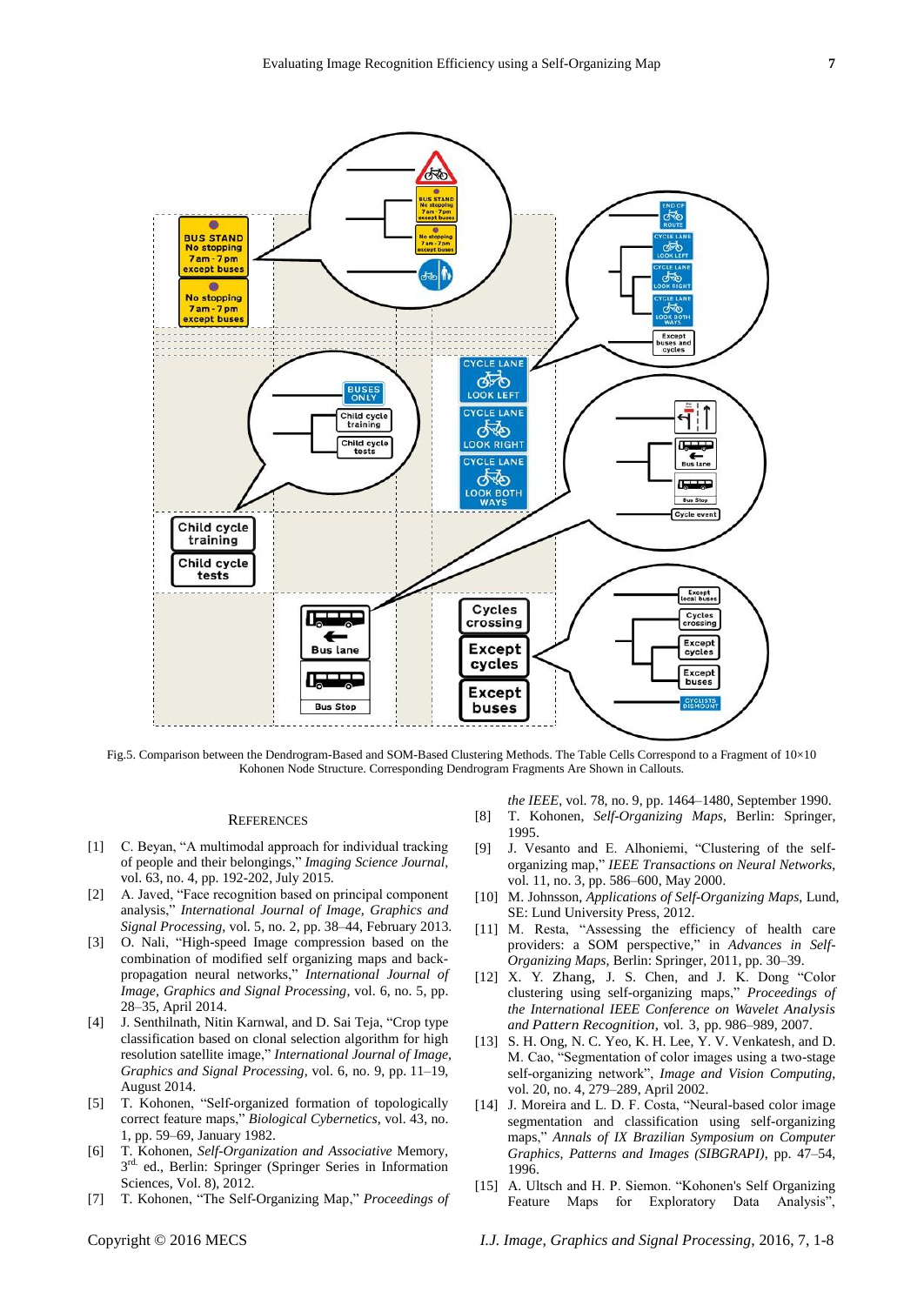

<span id="page-6-10"></span>Fig.5. Comparison between the Dendrogram-Based and SOM-Based Clustering Methods. The Table Cells Correspond to a Fragment of 10×10 Kohonen Node Structure. Corresponding Dendrogram Fragments Are Shown in Callouts.

## **REFERENCES**

- <span id="page-6-0"></span>[1] C. Beyan, "A multimodal approach for individual tracking of people and their belongings," Imaging Science Journal, vol. 63, no. 4, pp. 192-202, July 2015.
- [2] A. Javed, "Face recognition based on principal component analysis,‖ *International Journal of Image, Graphics and Signal Processing*, vol. 5, no. 2, pp. 38–44, February 2013.
- <span id="page-6-1"></span>[3] O. Nali, "High-speed Image compression based on the combination of modified self organizing maps and backpropagation neural networks,‖ *International Journal of Image, Graphics and Signal Processing*, vol. 6, no. 5, pp. 28–35, April 2014.
- <span id="page-6-2"></span>[4] J. Senthilnath, Nitin Karnwal, and D. Sai Teja, "Crop type classification based on clonal selection algorithm for high resolution satellite image," *International Journal of Image*, *Graphics and Signal Processing*, vol. 6, no. 9, pp. 11–19, August 2014.
- [5] T. Kohonen, "Self-organized formation of topologically correct feature maps," *Biological Cybernetics*, vol. 43, no. 1, pp. 59–69, January 1982.
- <span id="page-6-3"></span>[6] T. Kohonen, *Self-Organization and Associative* Memory, 3<sup>rd.</sup> ed., Berlin: Springer (Springer Series in Information Sciences, Vol. 8), 2012.
- [7] T. Kohonen, "The Self-Organizing Map," Proceedings of

*the IEEE*, vol. 78, no. 9, pp. 1464–1480, September 1990.

- <span id="page-6-4"></span>[8] T. Kohonen, *Self-Organizing Maps*, Berlin: Springer, 1995.
- <span id="page-6-5"></span>[9] J. Vesanto and E. Alhoniemi, "Clustering of the selforganizing map,‖ *IEEE Transactions on Neural Networks*, vol. 11, no. 3, pp. 586–600, May 2000.
- [10] M. Johnsson, *Applications of Self-Organizing Maps*, Lund, SE: Lund University Press, 2012.
- <span id="page-6-6"></span>[11] M. Resta, "Assessing the efficiency of health care providers: a SOM perspective," in *Advances in Self-Organizing Maps*, Berlin: Springer, 2011, pp. 30–39.
- <span id="page-6-7"></span>[12] X. Y. Zhang, J. S. Chen, and J. K. Dong "Color clustering using self-organizing maps,‖ *Proceedings of the International IEEE Conference on Wavelet Analysis and Pattern Recognition*, vol. 3, pp. 986–989, 2007.
- [13] S. H. Ong, N. C. Yeo, K. H. Lee, Y. V. Venkatesh, and D. M. Cao, "Segmentation of color images using a two-stage self-organizing network", Image and Vision Computing, vol. 20, no. 4, 279–289, April 2002.
- <span id="page-6-8"></span>[14] J. Moreira and L. D. F. Costa, "Neural-based color image segmentation and classification using self-organizing maps," Annals of IX Brazilian Symposium on Computer *Graphics, Patterns and Images (SIBGRAPI)*, pp. 47–54, 1996.
- <span id="page-6-9"></span>[15] A. Ultsch and H. P. Siemon. "Kohonen's Self Organizing Feature Maps for Exploratory Data Analysis",

Copyright © 2016 MECS *I.J. Image, Graphics and Signal Processing,* 2016, 7, 1-8